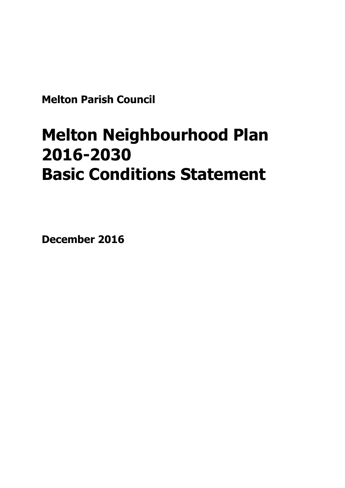**Melton Parish Council**

# **Melton Neighbourhood Plan 2016-2030 Basic Conditions Statement**

**December 2016**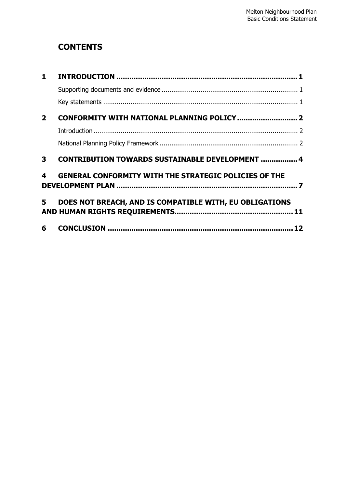## **CONTENTS**

| $\mathbf{1}$   |                                                              |  |
|----------------|--------------------------------------------------------------|--|
|                |                                                              |  |
|                |                                                              |  |
| $\overline{2}$ |                                                              |  |
|                |                                                              |  |
|                |                                                              |  |
| 3              | <b>CONTRIBUTION TOWARDS SUSTAINABLE DEVELOPMENT  4</b>       |  |
| 4              | <b>GENERAL CONFORMITY WITH THE STRATEGIC POLICIES OF THE</b> |  |
| 5              | DOES NOT BREACH, AND IS COMPATIBLE WITH, EU OBLIGATIONS      |  |
| 6              |                                                              |  |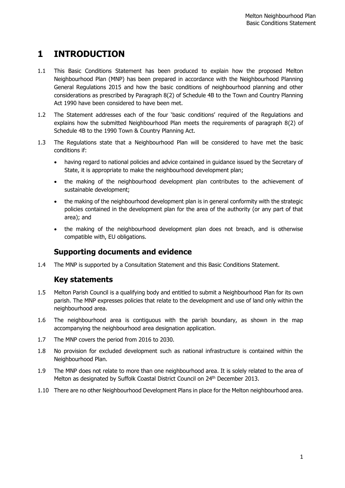## <span id="page-3-0"></span>**1 INTRODUCTION**

- 1.1 This Basic Conditions Statement has been produced to explain how the proposed Melton Neighbourhood Plan (MNP) has been prepared in accordance with the Neighbourhood Planning General Regulations 2015 and how the basic conditions of neighbourhood planning and other considerations as prescribed by Paragraph 8(2) of Schedule 4B to the Town and Country Planning Act 1990 have been considered to have been met.
- 1.2 The Statement addresses each of the four 'basic conditions' required of the Regulations and explains how the submitted Neighbourhood Plan meets the requirements of paragraph 8(2) of Schedule 4B to the 1990 Town & Country Planning Act.
- 1.3 The Regulations state that a Neighbourhood Plan will be considered to have met the basic conditions if:
	- having regard to national policies and advice contained in guidance issued by the Secretary of State, it is appropriate to make the neighbourhood development plan;
	- the making of the neighbourhood development plan contributes to the achievement of sustainable development;
	- the making of the neighbourhood development plan is in general conformity with the strategic policies contained in the development plan for the area of the authority (or any part of that area); and
	- the making of the neighbourhood development plan does not breach, and is otherwise compatible with, EU obligations.

### <span id="page-3-1"></span>**Supporting documents and evidence**

<span id="page-3-2"></span>1.4 The MNP is supported by a Consultation Statement and this Basic Conditions Statement.

### **Key statements**

- 1.5 Melton Parish Council is a qualifying body and entitled to submit a Neighbourhood Plan for its own parish. The MNP expresses policies that relate to the development and use of land only within the neighbourhood area.
- 1.6 The neighbourhood area is contiguous with the parish boundary, as shown in the map accompanying the neighbourhood area designation application.
- 1.7 The MNP covers the period from 2016 to 2030.
- 1.8 No provision for excluded development such as national infrastructure is contained within the Neighbourhood Plan.
- 1.9 The MNP does not relate to more than one neighbourhood area. It is solely related to the area of Melton as designated by Suffolk Coastal District Council on 24<sup>th</sup> December 2013.
- 1.10 There are no other Neighbourhood Development Plans in place for the Melton neighbourhood area.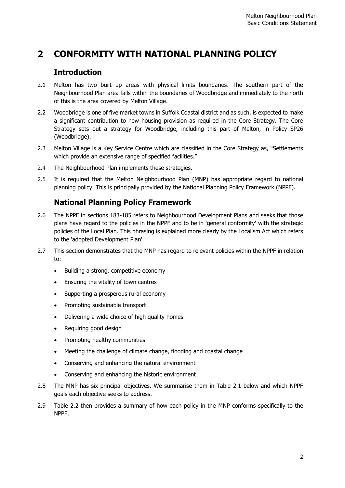## <span id="page-4-0"></span>**2 CONFORMITY WITH NATIONAL PLANNING POLICY**

#### <span id="page-4-1"></span>**Introduction**

- 2.1 Melton has two built up areas with physical limits boundaries. The southern part of the Neighbourhood Plan area falls within the boundaries of Woodbridge and immediately to the north of this is the area covered by Melton Village.
- 2.2 Woodbridge is one of five market towns in Suffolk Coastal district and as such, is expected to make a significant contribution to new housing provision as required in the Core Strategy. The Core Strategy sets out a strategy for Woodbridge, including this part of Melton, in Policy SP26 (Woodbridge).
- 2.3 Melton Village is a Key Service Centre which are classified in the Core Strategy as, "Settlements which provide an extensive range of specified facilities."
- 2.4 The Neighbourhood Plan implements these strategies.
- 2.5 It is required that the Melton Neighbourhood Plan (MNP) has appropriate regard to national planning policy. This is principally provided by the National Planning Policy Framework (NPPF).

### <span id="page-4-2"></span>**National Planning Policy Framework**

- 2.6 The NPPF in sections 183-185 refers to Neighbourhood Development Plans and seeks that those plans have regard to the policies in the NPPF and to be in 'general conformity' with the strategic policies of the Local Plan. This phrasing is explained more clearly by the Localism Act which refers to the 'adopted Development Plan'.
- 2.7 This section demonstrates that the MNP has regard to relevant policies within the NPPF in relation to:
	- Building a strong, competitive economy
	- Ensuring the vitality of town centres
	- Supporting a prosperous rural economy
	- Promoting sustainable transport
	- Delivering a wide choice of high quality homes
	- Requiring good design
	- Promoting healthy communities
	- Meeting the challenge of climate change, flooding and coastal change
	- Conserving and enhancing the natural environment
	- Conserving and enhancing the historic environment
- 2.8 The MNP has six principal objectives. We summarise them in Table 2.1 below and which NPPF goals each objective seeks to address.
- 2.9 Table 2.2 then provides a summary of how each policy in the MNP conforms specifically to the NPPF.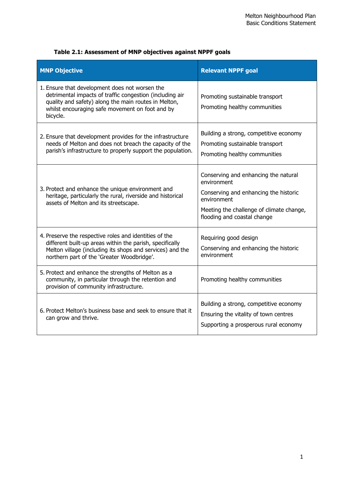| <b>MNP Objective</b>                                                                                                                                                                                                              | <b>Relevant NPPF goal</b>                                                                                                                                                              |
|-----------------------------------------------------------------------------------------------------------------------------------------------------------------------------------------------------------------------------------|----------------------------------------------------------------------------------------------------------------------------------------------------------------------------------------|
| 1. Ensure that development does not worsen the<br>detrimental impacts of traffic congestion (including air<br>quality and safety) along the main routes in Melton,<br>whilst encouraging safe movement on foot and by<br>bicycle. | Promoting sustainable transport<br>Promoting healthy communities                                                                                                                       |
| 2. Ensure that development provides for the infrastructure<br>needs of Melton and does not breach the capacity of the<br>parish's infrastructure to properly support the population.                                              | Building a strong, competitive economy<br>Promoting sustainable transport<br>Promoting healthy communities                                                                             |
| 3. Protect and enhance the unique environment and<br>heritage, particularly the rural, riverside and historical<br>assets of Melton and its streetscape.                                                                          | Conserving and enhancing the natural<br>environment<br>Conserving and enhancing the historic<br>environment<br>Meeting the challenge of climate change,<br>flooding and coastal change |
| 4. Preserve the respective roles and identities of the<br>different built-up areas within the parish, specifically<br>Melton village (including its shops and services) and the<br>northern part of the 'Greater Woodbridge'.     | Requiring good design<br>Conserving and enhancing the historic<br>environment                                                                                                          |
| 5. Protect and enhance the strengths of Melton as a<br>community, in particular through the retention and<br>provision of community infrastructure.                                                                               | Promoting healthy communities                                                                                                                                                          |
| 6. Protect Melton's business base and seek to ensure that it<br>can grow and thrive.                                                                                                                                              | Building a strong, competitive economy<br>Ensuring the vitality of town centres<br>Supporting a prosperous rural economy                                                               |

#### **Table 2.1: Assessment of MNP objectives against NPPF goals**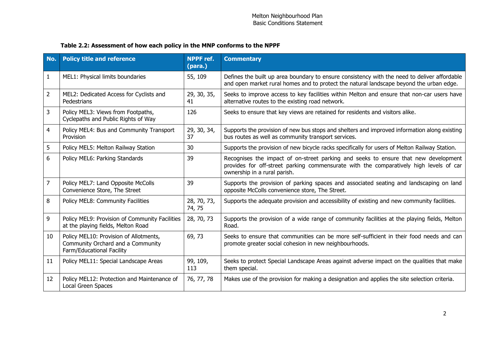#### **Table 2.2: Assessment of how each policy in the MNP conforms to the NPPF**

| No.            | <b>Policy title and reference</b>                                                                        | <b>NPPF</b> ref.<br>(para.) | <b>Commentary</b>                                                                                                                                                                                             |
|----------------|----------------------------------------------------------------------------------------------------------|-----------------------------|---------------------------------------------------------------------------------------------------------------------------------------------------------------------------------------------------------------|
| $\mathbf{1}$   | MEL1: Physical limits boundaries                                                                         | 55, 109                     | Defines the built up area boundary to ensure consistency with the need to deliver affordable<br>and open market rural homes and to protect the natural landscape beyond the urban edge.                       |
| $\overline{2}$ | MEL2: Dedicated Access for Cyclists and<br>Pedestrians                                                   | 29, 30, 35,<br>41           | Seeks to improve access to key facilities within Melton and ensure that non-car users have<br>alternative routes to the existing road network.                                                                |
| 3              | Policy MEL3: Views from Footpaths,<br>Cyclepaths and Public Rights of Way                                | 126                         | Seeks to ensure that key views are retained for residents and visitors alike.                                                                                                                                 |
| 4              | Policy MEL4: Bus and Community Transport<br>Provision                                                    | 29, 30, 34,<br>37           | Supports the provision of new bus stops and shelters and improved information along existing<br>bus routes as well as community transport services.                                                           |
| 5              | Policy MEL5: Melton Railway Station                                                                      | 30                          | Supports the provision of new bicycle racks specifically for users of Melton Railway Station.                                                                                                                 |
| 6              | Policy MEL6: Parking Standards                                                                           | 39                          | Recognises the impact of on-street parking and seeks to ensure that new development<br>provides for off-street parking commensurate with the comparatively high levels of car<br>ownership in a rural parish. |
| $\overline{7}$ | Policy MEL7: Land Opposite McColls<br>Convenience Store, The Street                                      | 39                          | Supports the provision of parking spaces and associated seating and landscaping on land<br>opposite McColls convenience store, The Street.                                                                    |
| 8              | Policy MEL8: Community Facilities                                                                        | 28, 70, 73,<br>74, 75       | Supports the adequate provision and accessibility of existing and new community facilities.                                                                                                                   |
| 9              | Policy MEL9: Provision of Community Facilities<br>at the playing fields, Melton Road                     | 28, 70, 73                  | Supports the provision of a wide range of community facilities at the playing fields, Melton<br>Road.                                                                                                         |
| 10             | Policy MEL10: Provision of Allotments,<br>Community Orchard and a Community<br>Farm/Educational Facility | 69,73                       | Seeks to ensure that communities can be more self-sufficient in their food needs and can<br>promote greater social cohesion in new neighbourhoods.                                                            |
| 11             | Policy MEL11: Special Landscape Areas                                                                    | 99, 109,<br>113             | Seeks to protect Special Landscape Areas against adverse impact on the qualities that make<br>them special.                                                                                                   |
| 12             | Policy MEL12: Protection and Maintenance of<br>Local Green Spaces                                        | 76, 77, 78                  | Makes use of the provision for making a designation and applies the site selection criteria.                                                                                                                  |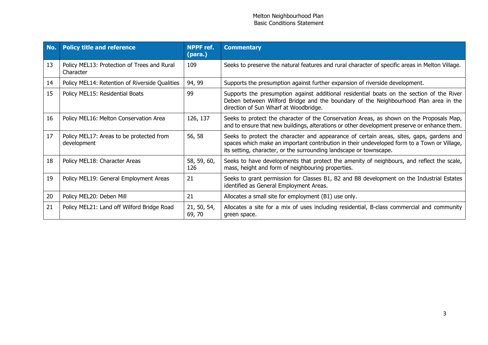| No. | <b>Policy title and reference</b>                        | <b>NPPF</b> ref.<br>(para.) | <b>Commentary</b>                                                                                                                                                                                                                                             |
|-----|----------------------------------------------------------|-----------------------------|---------------------------------------------------------------------------------------------------------------------------------------------------------------------------------------------------------------------------------------------------------------|
| 13  | Policy MEL13: Protection of Trees and Rural<br>Character | 109                         | Seeks to preserve the natural features and rural character of specific areas in Melton Village.                                                                                                                                                               |
| 14  | Policy MEL14: Retention of Riverside Qualities           | 94, 99                      | Supports the presumption against further expansion of riverside development.                                                                                                                                                                                  |
| 15  | Policy MEL15: Residential Boats                          | 99                          | Supports the presumption against additional residential boats on the section of the River<br>Deben between Wilford Bridge and the boundary of the Neighbourhood Plan area in the<br>direction of Sun Wharf at Woodbridge.                                     |
| 16  | Policy MEL16: Melton Conservation Area                   | 126, 137                    | Seeks to protect the character of the Conservation Areas, as shown on the Proposals Map,<br>and to ensure that new buildings, alterations or other development preserve or enhance them.                                                                      |
| 17  | Policy MEL17: Areas to be protected from<br>development  | 56, 58                      | Seeks to protect the character and appearance of certain areas, sites, gaps, gardens and<br>spaces which make an important contribution in their undeveloped form to a Town or Village,<br>its setting, character, or the surrounding landscape or townscape. |
| 18  | Policy MEL18: Character Areas                            | 58, 59, 60,<br>126          | Seeks to have developments that protect the amenity of neighbours, and reflect the scale,<br>mass, height and form of neighbouring properties.                                                                                                                |
| 19  | Policy MEL19: General Employment Areas                   | 21                          | Seeks to grant permission for Classes B1, B2 and B8 development on the Industrial Estates<br>identified as General Employment Areas.                                                                                                                          |
| 20  | Policy MEL20: Deben Mill                                 | 21                          | Allocates a small site for employment (B1) use only.                                                                                                                                                                                                          |
| 21  | Policy MEL21: Land off Wilford Bridge Road               | 21, 50, 54,<br>69, 70       | Allocates a site for a mix of uses including residential, B-class commercial and community<br>green space.                                                                                                                                                    |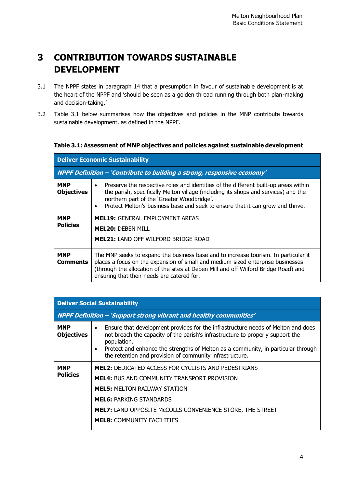## <span id="page-8-0"></span>**3 CONTRIBUTION TOWARDS SUSTAINABLE DEVELOPMENT**

- 3.1 The NPPF states in paragraph 14 that a presumption in favour of sustainable development is at the heart of the NPPF and 'should be seen as a golden thread running through both plan-making and decision-taking.'
- 3.2 Table 3.1 below summarises how the objectives and policies in the MNP contribute towards sustainable development, as defined in the NPPF.

#### **Table 3.1: Assessment of MNP objectives and policies against sustainable development**

| <b>Deliver Economic Sustainability</b> |                                                                                                                                                                                                                                                                                                                        |  |  |  |  |
|----------------------------------------|------------------------------------------------------------------------------------------------------------------------------------------------------------------------------------------------------------------------------------------------------------------------------------------------------------------------|--|--|--|--|
|                                        | NPPF Definition - 'Contribute to building a strong, responsive economy'                                                                                                                                                                                                                                                |  |  |  |  |
| <b>MNP</b><br><b>Objectives</b>        | Preserve the respective roles and identities of the different built-up areas within<br>$\bullet$<br>the parish, specifically Melton village (including its shops and services) and the<br>northern part of the 'Greater Woodbridge'.<br>Protect Melton's business base and seek to ensure that it can grow and thrive. |  |  |  |  |
| <b>MNP</b>                             | <b>MEL19: GENERAL EMPLOYMENT AREAS</b>                                                                                                                                                                                                                                                                                 |  |  |  |  |
| <b>Policies</b>                        | <b>MEL20: DEBEN MILL</b>                                                                                                                                                                                                                                                                                               |  |  |  |  |
|                                        | <b>MEL21: LAND OFF WILFORD BRIDGE ROAD</b>                                                                                                                                                                                                                                                                             |  |  |  |  |
| <b>MNP</b><br><b>Comments</b>          | The MNP seeks to expand the business base and to increase tourism. In particular it<br>places a focus on the expansion of small and medium-sized enterprise businesses<br>(through the allocation of the sites at Deben Mill and off Wilford Bridge Road) and<br>ensuring that their needs are catered for.            |  |  |  |  |

| <b>Deliver Social Sustainability</b> |                                                                                                                                                                                                                                                                                                                                                              |  |  |  |
|--------------------------------------|--------------------------------------------------------------------------------------------------------------------------------------------------------------------------------------------------------------------------------------------------------------------------------------------------------------------------------------------------------------|--|--|--|
|                                      | NPPF Definition - 'Support strong vibrant and healthy communities'                                                                                                                                                                                                                                                                                           |  |  |  |
| <b>MNP</b><br><b>Objectives</b>      | Ensure that development provides for the infrastructure needs of Melton and does<br>$\bullet$<br>not breach the capacity of the parish's infrastructure to properly support the<br>population.<br>Protect and enhance the strengths of Melton as a community, in particular through<br>$\bullet$<br>the retention and provision of community infrastructure. |  |  |  |
| <b>MNP</b><br><b>Policies</b>        | <b>MEL2: DEDICATED ACCESS FOR CYCLISTS AND PEDESTRIANS</b><br><b>MEL4:</b> BUS AND COMMUNITY TRANSPORT PROVISION<br><b>MEL5: MELTON RAILWAY STATION</b>                                                                                                                                                                                                      |  |  |  |
|                                      | <b>MEL6: PARKING STANDARDS</b><br><b>MEL7: LAND OPPOSITE MCCOLLS CONVENIENCE STORE, THE STREET</b><br><b>MEL8: COMMUNITY FACILITIES</b>                                                                                                                                                                                                                      |  |  |  |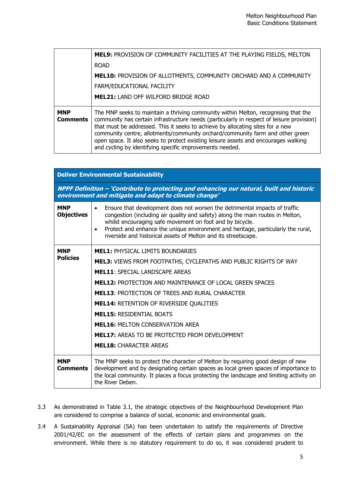|                               | <b>MEL9: PROVISION OF COMMUNITY FACILITIES AT THE PLAYING FIELDS, MELTON</b><br><b>ROAD</b><br>MEL10: PROVISION OF ALLOTMENTS, COMMUNITY ORCHARD AND A COMMUNITY<br>FARM/EDUCATIONAL FACILITY<br><b>MEL21: LAND OFF WILFORD BRIDGE ROAD</b>                                                                                                                                                                                                                                                           |
|-------------------------------|-------------------------------------------------------------------------------------------------------------------------------------------------------------------------------------------------------------------------------------------------------------------------------------------------------------------------------------------------------------------------------------------------------------------------------------------------------------------------------------------------------|
| <b>MNP</b><br><b>Comments</b> | The MNP seeks to maintain a thriving community within Melton, recognising that the<br>community has certain infrastructure needs (particularly in respect of leisure provision)<br>that must be addressed. This it seeks to achieve by allocating sites for a new<br>community centre, allotments/community orchard/community farm and other green<br>open space. It also seeks to protect existing leisure assets and encourages walking<br>and cycling by identifying specific improvements needed. |

| <b>Deliver Environmental Sustainability</b> |                                                                                                                                                                                                                                                                                                                                                                                             |  |  |  |
|---------------------------------------------|---------------------------------------------------------------------------------------------------------------------------------------------------------------------------------------------------------------------------------------------------------------------------------------------------------------------------------------------------------------------------------------------|--|--|--|
|                                             | NPPF Definition - 'Contribute to protecting and enhancing our natural, built and historic<br>environment and mitigate and adapt to climate change'                                                                                                                                                                                                                                          |  |  |  |
| <b>MNP</b><br><b>Objectives</b>             | Ensure that development does not worsen the detrimental impacts of traffic<br>congestion (including air quality and safety) along the main routes in Melton,<br>whilst encouraging safe movement on foot and by bicycle.<br>Protect and enhance the unique environment and heritage, particularly the rural,<br>$\bullet$<br>riverside and historical assets of Melton and its streetscape. |  |  |  |
| <b>MNP</b>                                  | <b>MEL1: PHYSICAL LIMITS BOUNDARIES</b>                                                                                                                                                                                                                                                                                                                                                     |  |  |  |
| <b>Policies</b>                             | <b>MEL3: VIEWS FROM FOOTPATHS, CYCLEPATHS AND PUBLIC RIGHTS OF WAY</b>                                                                                                                                                                                                                                                                                                                      |  |  |  |
|                                             | <b>MEL11: SPECIAL LANDSCAPE AREAS</b>                                                                                                                                                                                                                                                                                                                                                       |  |  |  |
|                                             | <b>MEL12: PROTECTION AND MAINTENANCE OF LOCAL GREEN SPACES</b>                                                                                                                                                                                                                                                                                                                              |  |  |  |
|                                             | <b>MEL13: PROTECTION OF TREES AND RURAL CHARACTER</b>                                                                                                                                                                                                                                                                                                                                       |  |  |  |
|                                             | <b>MEL14: RETENTION OF RIVERSIDE QUALITIES</b>                                                                                                                                                                                                                                                                                                                                              |  |  |  |
|                                             | <b>MEL15: RESIDENTIAL BOATS</b>                                                                                                                                                                                                                                                                                                                                                             |  |  |  |
|                                             | <b>MEL16: MELTON CONSERVATION AREA</b>                                                                                                                                                                                                                                                                                                                                                      |  |  |  |
|                                             | <b>MEL17: AREAS TO BE PROTECTED FROM DEVELOPMENT</b>                                                                                                                                                                                                                                                                                                                                        |  |  |  |
|                                             | <b>MEL18: CHARACTER AREAS</b>                                                                                                                                                                                                                                                                                                                                                               |  |  |  |
| <b>MNP</b><br><b>Comments</b>               | The MNP seeks to protect the character of Melton by requiring good design of new<br>development and by designating certain spaces as local green spaces of importance to<br>the local community. It places a focus protecting the landscape and limiting activity on<br>the River Deben.                                                                                                    |  |  |  |

- 3.3 As demonstrated in Table 3.1, the strategic objectives of the Neighbourhood Development Plan are considered to comprise a balance of social, economic and environmental goals.
- 3.4 A Sustainability Appraisal (SA) has been undertaken to satisfy the requirements of Directive 2001/42/EC on the assessment of the effects of certain plans and programmes on the environment. While there is no statutory requirement to do so, it was considered prudent to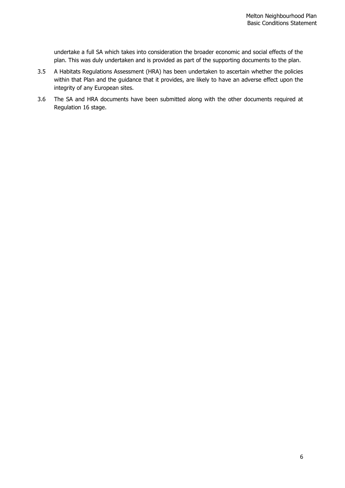undertake a full SA which takes into consideration the broader economic and social effects of the plan. This was duly undertaken and is provided as part of the supporting documents to the plan.

- 3.5 A Habitats Regulations Assessment (HRA) has been undertaken to ascertain whether the policies within that Plan and the guidance that it provides, are likely to have an adverse effect upon the integrity of any European sites.
- 3.6 The SA and HRA documents have been submitted along with the other documents required at Regulation 16 stage.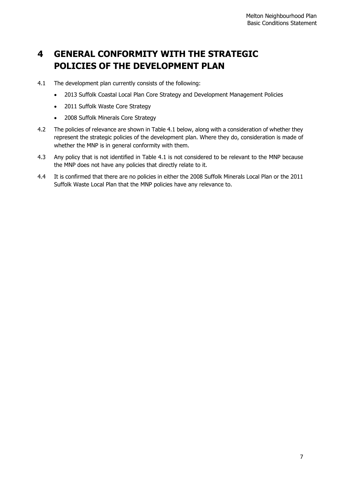## <span id="page-11-0"></span>**4 GENERAL CONFORMITY WITH THE STRATEGIC POLICIES OF THE DEVELOPMENT PLAN**

- 4.1 The development plan currently consists of the following:
	- 2013 Suffolk Coastal Local Plan Core Strategy and Development Management Policies
	- 2011 Suffolk Waste Core Strategy
	- 2008 Suffolk Minerals Core Strategy
- 4.2 The policies of relevance are shown in Table 4.1 below, along with a consideration of whether they represent the strategic policies of the development plan. Where they do, consideration is made of whether the MNP is in general conformity with them.
- 4.3 Any policy that is not identified in Table 4.1 is not considered to be relevant to the MNP because the MNP does not have any policies that directly relate to it.
- 4.4 It is confirmed that there are no policies in either the 2008 Suffolk Minerals Local Plan or the 2011 Suffolk Waste Local Plan that the MNP policies have any relevance to.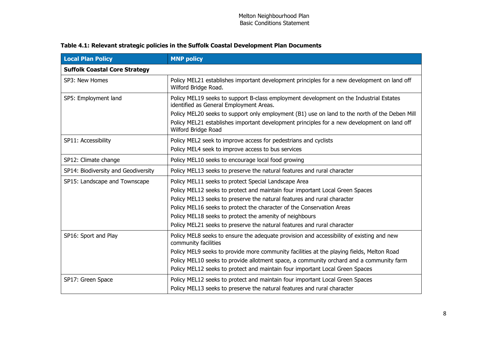| <b>Local Plan Policy</b>             | <b>MNP policy</b>                                                                                                                                                                                                   |  |
|--------------------------------------|---------------------------------------------------------------------------------------------------------------------------------------------------------------------------------------------------------------------|--|
| <b>Suffolk Coastal Core Strategy</b> |                                                                                                                                                                                                                     |  |
| SP3: New Homes                       | Policy MEL21 establishes important development principles for a new development on land off<br>Wilford Bridge Road.                                                                                                 |  |
| SP5: Employment land                 | Policy MEL19 seeks to support B-class employment development on the Industrial Estates<br>identified as General Employment Areas.                                                                                   |  |
|                                      | Policy MEL20 seeks to support only employment (B1) use on land to the north of the Deben Mill<br>Policy MEL21 establishes important development principles for a new development on land off<br>Wilford Bridge Road |  |
| SP11: Accessibility                  | Policy MEL2 seek to improve access for pedestrians and cyclists                                                                                                                                                     |  |
|                                      | Policy MEL4 seek to improve access to bus services                                                                                                                                                                  |  |
| SP12: Climate change                 | Policy MEL10 seeks to encourage local food growing                                                                                                                                                                  |  |
| SP14: Biodiversity and Geodiversity  | Policy MEL13 seeks to preserve the natural features and rural character                                                                                                                                             |  |
| SP15: Landscape and Townscape        | Policy MEL11 seeks to protect Special Landscape Area                                                                                                                                                                |  |
|                                      | Policy MEL12 seeks to protect and maintain four important Local Green Spaces                                                                                                                                        |  |
|                                      | Policy MEL13 seeks to preserve the natural features and rural character                                                                                                                                             |  |
|                                      | Policy MEL16 seeks to protect the character of the Conservation Areas                                                                                                                                               |  |
|                                      | Policy MEL18 seeks to protect the amenity of neighbours                                                                                                                                                             |  |
|                                      | Policy MEL21 seeks to preserve the natural features and rural character                                                                                                                                             |  |
| SP16: Sport and Play                 | Policy MEL8 seeks to ensure the adequate provision and accessibility of existing and new<br>community facilities                                                                                                    |  |
|                                      | Policy MEL9 seeks to provide more community facilities at the playing fields, Melton Road                                                                                                                           |  |
|                                      | Policy MEL10 seeks to provide allotment space, a community orchard and a community farm                                                                                                                             |  |
|                                      | Policy MEL12 seeks to protect and maintain four important Local Green Spaces                                                                                                                                        |  |
| SP17: Green Space                    | Policy MEL12 seeks to protect and maintain four important Local Green Spaces                                                                                                                                        |  |
|                                      | Policy MEL13 seeks to preserve the natural features and rural character                                                                                                                                             |  |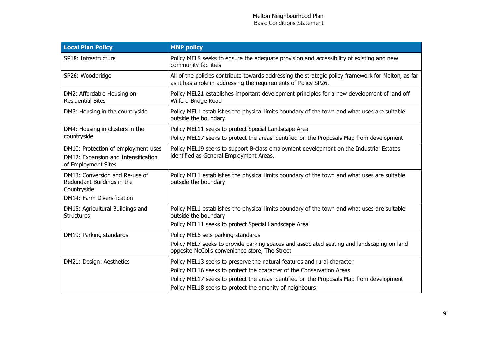| <b>Local Plan Policy</b>                                                                                  | <b>MNP policy</b>                                                                                                                                                           |
|-----------------------------------------------------------------------------------------------------------|-----------------------------------------------------------------------------------------------------------------------------------------------------------------------------|
| SP18: Infrastructure                                                                                      | Policy MEL8 seeks to ensure the adequate provision and accessibility of existing and new<br>community facilities                                                            |
| SP26: Woodbridge                                                                                          | All of the policies contribute towards addressing the strategic policy framework for Melton, as far<br>as it has a role in addressing the requirements of Policy SP26.      |
| DM2: Affordable Housing on<br><b>Residential Sites</b>                                                    | Policy MEL21 establishes important development principles for a new development of land off<br>Wilford Bridge Road                                                          |
| DM3: Housing in the countryside                                                                           | Policy MEL1 establishes the physical limits boundary of the town and what uses are suitable<br>outside the boundary                                                         |
| DM4: Housing in clusters in the                                                                           | Policy MEL11 seeks to protect Special Landscape Area                                                                                                                        |
| countryside                                                                                               | Policy MEL17 seeks to protect the areas identified on the Proposals Map from development                                                                                    |
| DM10: Protection of employment uses<br>DM12: Expansion and Intensification<br>of Employment Sites         | Policy MEL19 seeks to support B-class employment development on the Industrial Estates<br>identified as General Employment Areas.                                           |
| DM13: Conversion and Re-use of<br>Redundant Buildings in the<br>Countryside<br>DM14: Farm Diversification | Policy MEL1 establishes the physical limits boundary of the town and what uses are suitable<br>outside the boundary                                                         |
| DM15: Agricultural Buildings and<br><b>Structures</b>                                                     | Policy MEL1 establishes the physical limits boundary of the town and what uses are suitable<br>outside the boundary<br>Policy MEL11 seeks to protect Special Landscape Area |
| DM19: Parking standards                                                                                   | Policy MEL6 sets parking standards                                                                                                                                          |
|                                                                                                           | Policy MEL7 seeks to provide parking spaces and associated seating and landscaping on land<br>opposite McColls convenience store, The Street                                |
| DM21: Design: Aesthetics                                                                                  | Policy MEL13 seeks to preserve the natural features and rural character                                                                                                     |
|                                                                                                           | Policy MEL16 seeks to protect the character of the Conservation Areas                                                                                                       |
|                                                                                                           | Policy MEL17 seeks to protect the areas identified on the Proposals Map from development                                                                                    |
|                                                                                                           | Policy MEL18 seeks to protect the amenity of neighbours                                                                                                                     |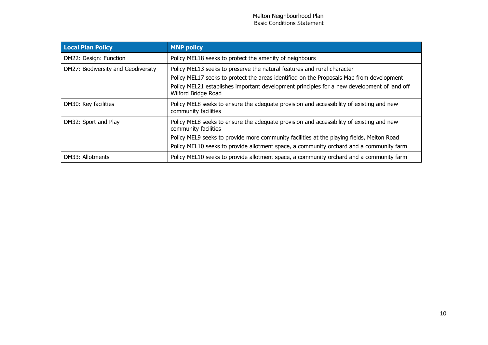| <b>Local Plan Policy</b>            | <b>MNP</b> policy                                                                                                                                                                                                                                                                                        |
|-------------------------------------|----------------------------------------------------------------------------------------------------------------------------------------------------------------------------------------------------------------------------------------------------------------------------------------------------------|
| DM22: Design: Function              | Policy MEL18 seeks to protect the amenity of neighbours                                                                                                                                                                                                                                                  |
| DM27: Biodiversity and Geodiversity | Policy MEL13 seeks to preserve the natural features and rural character<br>Policy MEL17 seeks to protect the areas identified on the Proposals Map from development<br>Policy MEL21 establishes important development principles for a new development of land off<br>Wilford Bridge Road                |
| DM30: Key facilities                | Policy MEL8 seeks to ensure the adequate provision and accessibility of existing and new<br>community facilities                                                                                                                                                                                         |
| DM32: Sport and Play                | Policy MEL8 seeks to ensure the adequate provision and accessibility of existing and new<br>community facilities<br>Policy MEL9 seeks to provide more community facilities at the playing fields, Melton Road<br>Policy MEL10 seeks to provide allotment space, a community orchard and a community farm |
| DM33: Allotments                    | Policy MEL10 seeks to provide allotment space, a community orchard and a community farm                                                                                                                                                                                                                  |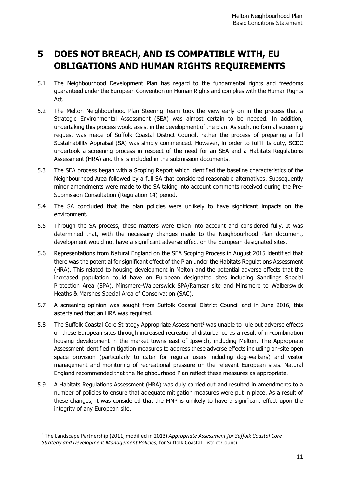## <span id="page-15-0"></span>**5 DOES NOT BREACH, AND IS COMPATIBLE WITH, EU OBLIGATIONS AND HUMAN RIGHTS REQUIREMENTS**

- 5.1 The Neighbourhood Development Plan has regard to the fundamental rights and freedoms guaranteed under the European Convention on Human Rights and complies with the Human Rights Act.
- 5.2 The Melton Neighbourhood Plan Steering Team took the view early on in the process that a Strategic Environmental Assessment (SEA) was almost certain to be needed. In addition, undertaking this process would assist in the development of the plan. As such, no formal screening request was made of Suffolk Coastal District Council, rather the process of preparing a full Sustainability Appraisal (SA) was simply commenced. However, in order to fulfil its duty, SCDC undertook a screening process in respect of the need for an SEA and a Habitats Regulations Assessment (HRA) and this is included in the submission documents.
- 5.3 The SEA process began with a Scoping Report which identified the baseline characteristics of the Neighbourhood Area followed by a full SA that considered reasonable alternatives. Subsequently minor amendments were made to the SA taking into account comments received during the Pre-Submission Consultation (Regulation 14) period.
- 5.4 The SA concluded that the plan policies were unlikely to have significant impacts on the environment.
- 5.5 Through the SA process, these matters were taken into account and considered fully. It was determined that, with the necessary changes made to the Neighbourhood Plan document, development would not have a significant adverse effect on the European designated sites.
- 5.6 Representations from Natural England on the SEA Scoping Process in August 2015 identified that there was the potential for significant effect of the Plan under the Habitats Regulations Assessment (HRA). This related to housing development in Melton and the potential adverse effects that the increased population could have on European designated sites including Sandlings Special Protection Area (SPA), Minsmere-Walberswick SPA/Ramsar site and Minsmere to Walberswick Heaths & Marshes Special Area of Conservation (SAC).
- 5.7 A screening opinion was sought from Suffolk Coastal District Council and in June 2016, this ascertained that an HRA was required.
- 5.8 The Suffolk Coastal Core Strategy Appropriate Assessment<sup>1</sup> was unable to rule out adverse effects on these European sites through increased recreational disturbance as a result of in-combination housing development in the market towns east of Ipswich, including Melton. The Appropriate Assessment identified mitigation measures to address these adverse effects including on-site open space provision (particularly to cater for regular users including dog-walkers) and visitor management and monitoring of recreational pressure on the relevant European sites. Natural England recommended that the Neighbourhood Plan reflect these measures as appropriate.
- 5.9 A Habitats Regulations Assessment (HRA) was duly carried out and resulted in amendments to a number of policies to ensure that adequate mitigation measures were put in place. As a result of these changes, it was considered that the MNP is unlikely to have a significant effect upon the integrity of any European site.

**.** 

<sup>1</sup> The Landscape Partnership (2011, modified in 2013) *Appropriate Assessment for Suffolk Coastal Core Strategy and Development Management Policies*, for Suffolk Coastal District Council